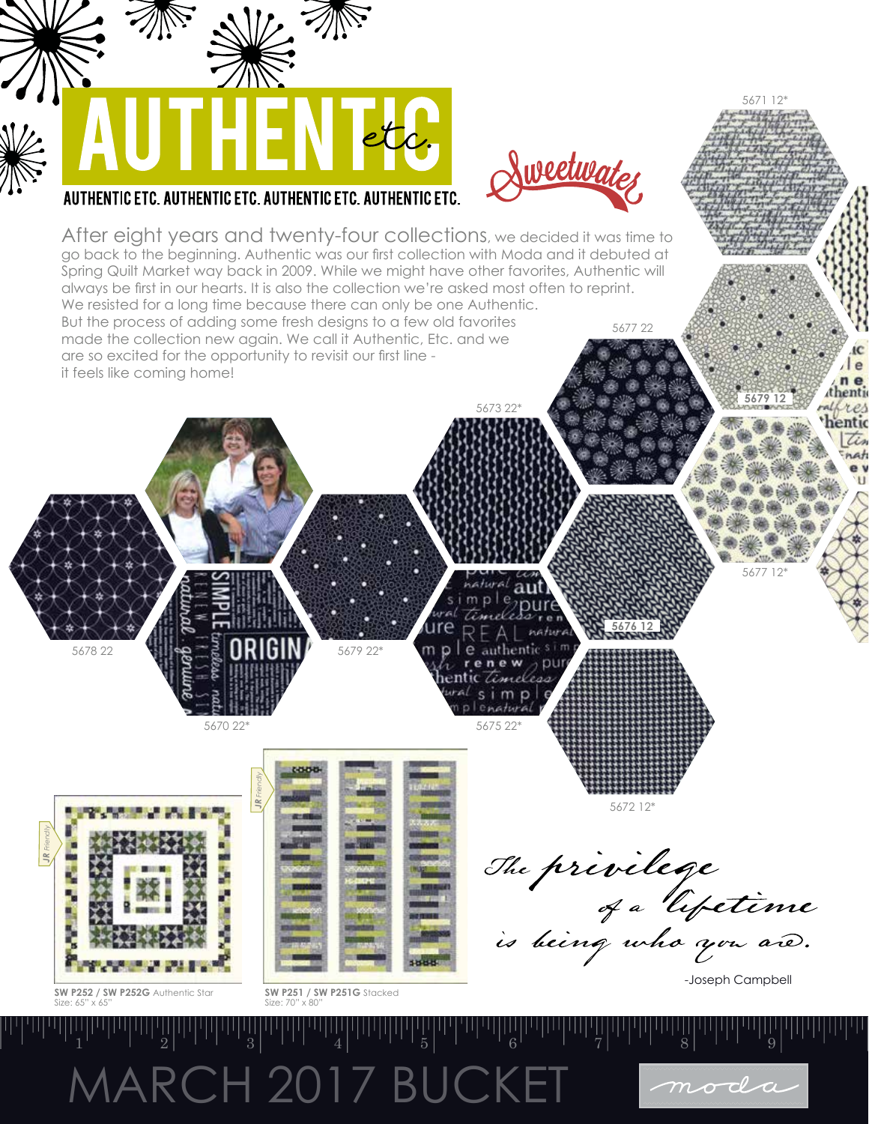## MARCH 2017 BUCKET